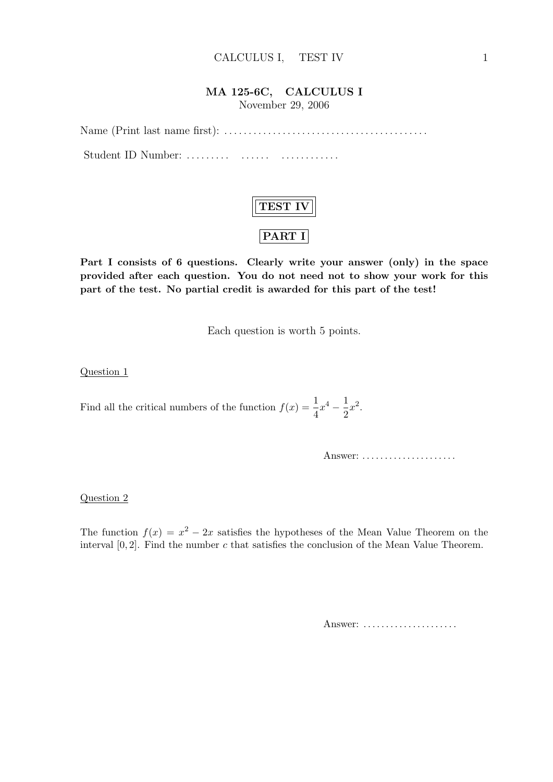### MA 125-6C, CALCULUS I

November 29, 2006

Name (Print last name first): . . . . . . . . . . . . . . . . . . . . . . . . . . . . . . . . . . . . . . . . . . Student ID Number: . . . . . . . . . . . . . . . . . . . . . . . . . . .



Part I consists of 6 questions. Clearly write your answer (only) in the space provided after each question. You do not need not to show your work for this part of the test. No partial credit is awarded for this part of the test!

Each question is worth 5 points.

Question 1

Find all the critical numbers of the function  $f(x) = \frac{1}{4}x^4 - \frac{1}{2}$  $\frac{1}{2}x^2$ .

Answer: . . . . . . . . . . . . . . . . . . . . .

Question 2

The function  $f(x) = x^2 - 2x$  satisfies the hypotheses of the Mean Value Theorem on the interval  $[0, 2]$ . Find the number c that satisfies the conclusion of the Mean Value Theorem.

Answer: ......................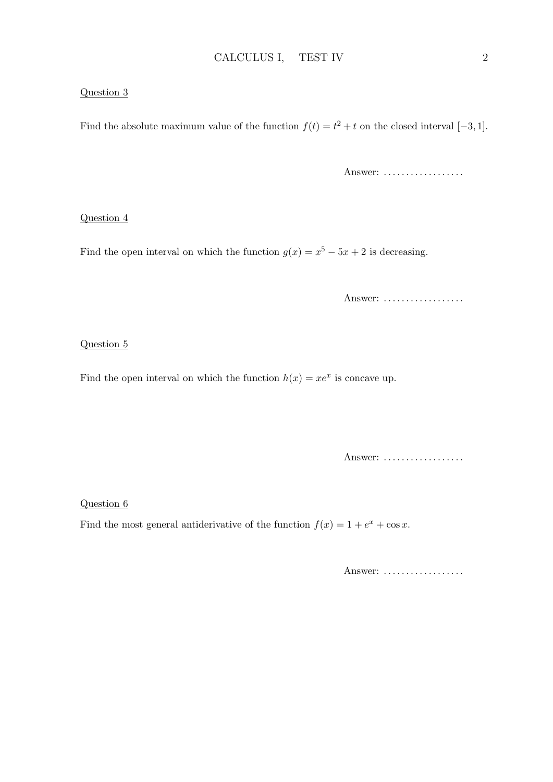#### Question 3

Find the absolute maximum value of the function  $f(t) = t^2 + t$  on the closed interval [-3, 1].

Answer: ..................

#### Question 4

Find the open interval on which the function  $g(x) = x^5 - 5x + 2$  is decreasing.

Answer: ..................

#### Question 5

Find the open interval on which the function  $h(x) = xe^x$  is concave up.

Answer: ..................

Question 6

Find the most general antiderivative of the function  $f(x) = 1 + e^x + \cos x$ .

Answer: ..................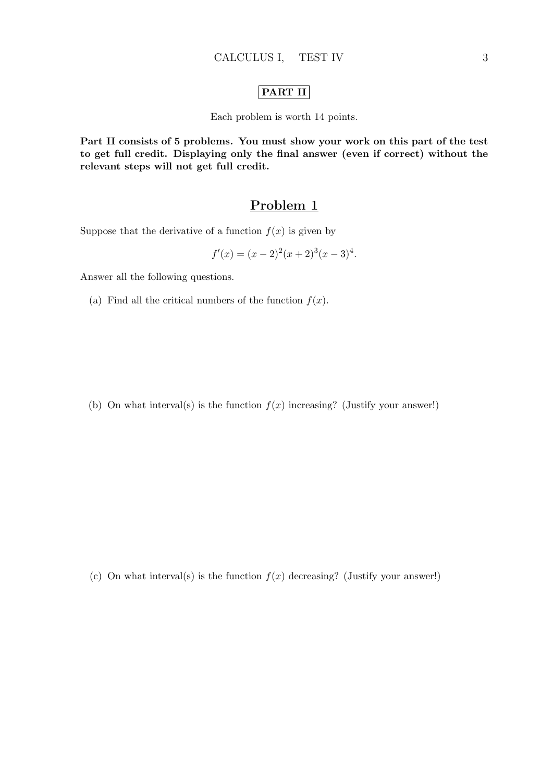### PART II

Each problem is worth 14 points.

Part II consists of 5 problems. You must show your work on this part of the test to get full credit. Displaying only the final answer (even if correct) without the relevant steps will not get full credit.

### Problem 1

Suppose that the derivative of a function  $f(x)$  is given by

$$
f'(x) = (x - 2)^2(x + 2)^3(x - 3)^4.
$$

Answer all the following questions.

(a) Find all the critical numbers of the function  $f(x)$ .

(b) On what interval(s) is the function  $f(x)$  increasing? (Justify your answer!)

(c) On what interval(s) is the function  $f(x)$  decreasing? (Justify your answer!)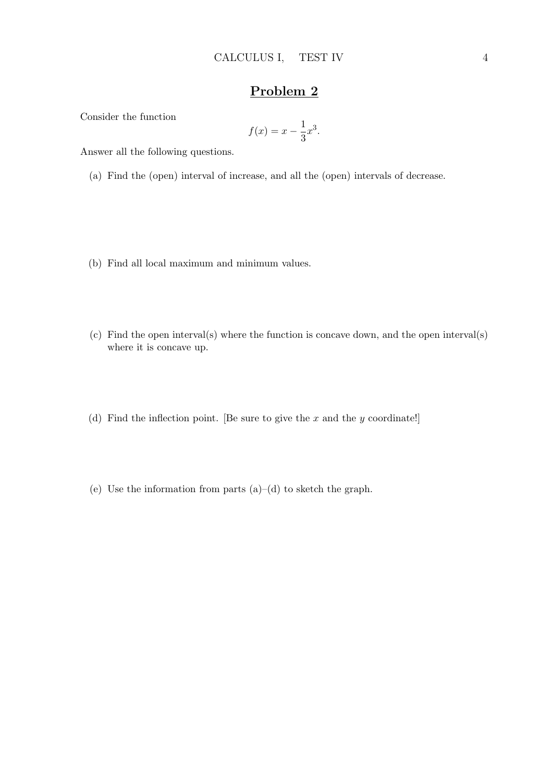Consider the function

$$
f(x) = x - \frac{1}{3}x^3.
$$

Answer all the following questions.

- (a) Find the (open) interval of increase, and all the (open) intervals of decrease.
- (b) Find all local maximum and minimum values.
- (c) Find the open interval(s) where the function is concave down, and the open interval(s) where it is concave up.
- (d) Find the inflection point. [Be sure to give the  $x$  and the  $y$  coordinate!]
- (e) Use the information from parts  $(a)$ –(d) to sketch the graph.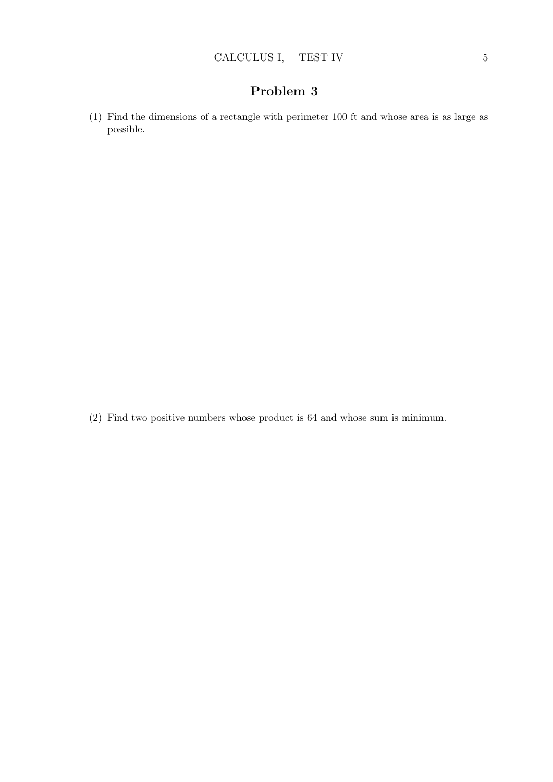(1) Find the dimensions of a rectangle with perimeter 100 ft and whose area is as large as possible.

(2) Find two positive numbers whose product is 64 and whose sum is minimum.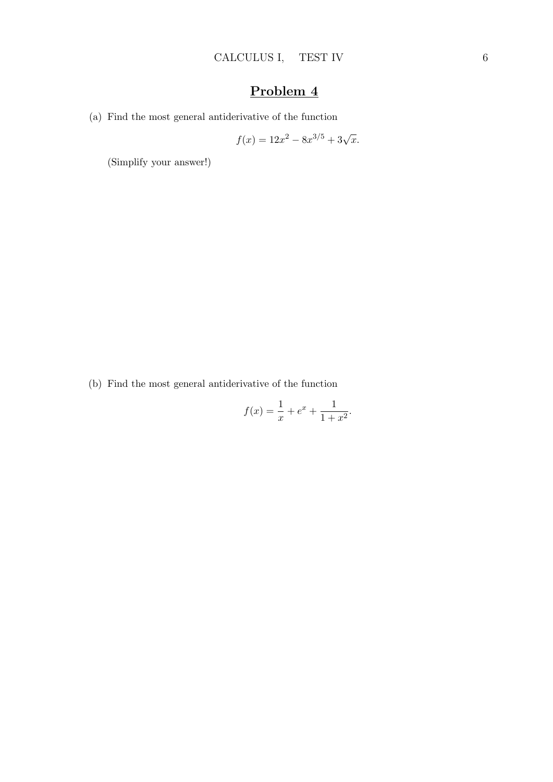(a) Find the most general antiderivative of the function

$$
f(x) = 12x^2 - 8x^{3/5} + 3\sqrt{x}.
$$

(Simplify your answer!)

(b) Find the most general antiderivative of the function

$$
f(x) = \frac{1}{x} + e^x + \frac{1}{1 + x^2}.
$$